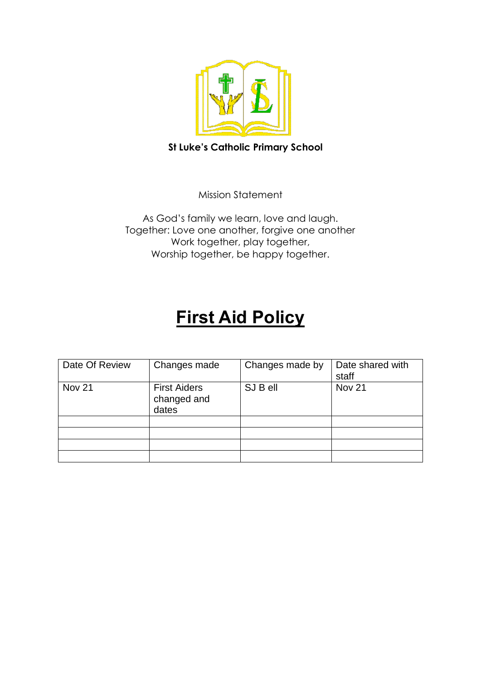

# **St Luke's Catholic Primary School**

Mission Statement

As God's family we learn, love and laugh. Together: Love one another, forgive one another Work together, play together, Worship together, be happy together.

# **First Aid Policy**

| Date Of Review | Changes made                                | Changes made by | Date shared with<br>staff |
|----------------|---------------------------------------------|-----------------|---------------------------|
| <b>Nov 21</b>  | <b>First Aiders</b><br>changed and<br>dates | SJ B ell        | Nov <sub>21</sub>         |
|                |                                             |                 |                           |
|                |                                             |                 |                           |
|                |                                             |                 |                           |
|                |                                             |                 |                           |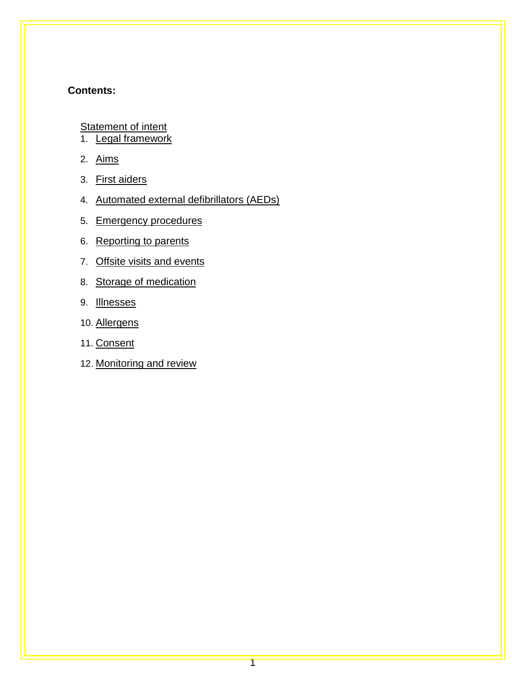### **Contents:**

**[Statement of intent](#page-2-0)** 

- 1. [Legal framework](#page-3-0)
- 2. [Aims](#page-3-1)
- 3. [First aiders](#page-4-0)
- 4. [Automated external defibrillators \(AEDs\)](#page-5-0)
- 5. [Emergency procedures](#page-5-1)
- 6. [Reporting to parents](#page-6-0)
- 7. [Offsite visits and events](#page-6-1)
- 8. [Storage of medication](#page-6-2)
- 9. [Illnesses](#page-7-0)
- 10. [Allergens](#page-7-1)
- 11. [Consent](#page-7-2)
- 12. [Monitoring and review](#page-8-0)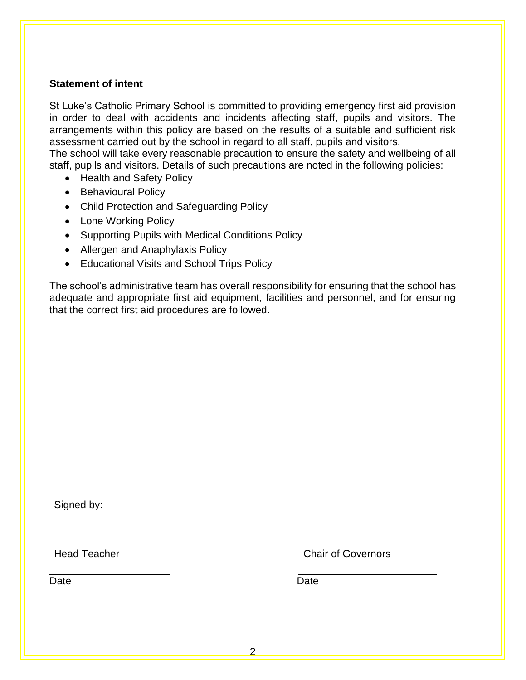#### <span id="page-2-0"></span>**Statement of intent**

St Luke's Catholic Primary School is committed to providing emergency first aid provision in order to deal with accidents and incidents affecting staff, pupils and visitors. The arrangements within this policy are based on the results of a suitable and sufficient risk assessment carried out by the school in regard to all staff, pupils and visitors.

The school will take every reasonable precaution to ensure the safety and wellbeing of all staff, pupils and visitors. Details of such precautions are noted in the following policies:

- Health and Safety Policy
- Behavioural Policy
- Child Protection and Safeguarding Policy
- Lone Working Policy
- Supporting Pupils with Medical Conditions Policy
- Allergen and Anaphylaxis Policy
- Educational Visits and School Trips Policy

The school's administrative team has overall responsibility for ensuring that the school has adequate and appropriate first aid equipment, facilities and personnel, and for ensuring that the correct first aid procedures are followed.

Signed by:

**Head Teacher Chair of Governors** 

Date **Date Date Date Date Date**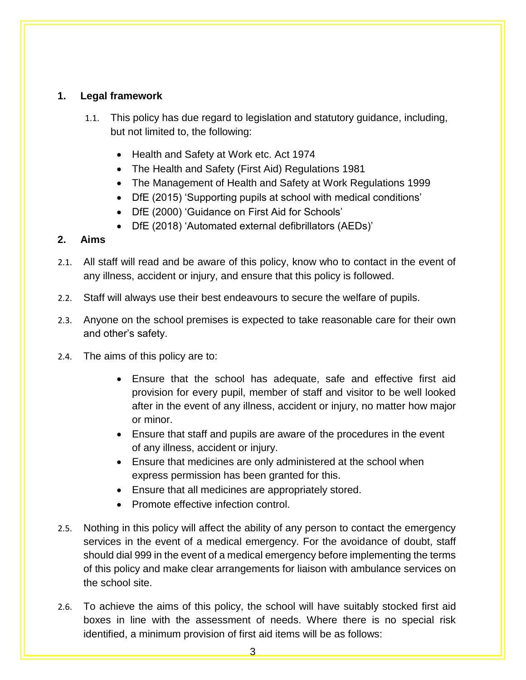# <span id="page-3-0"></span>**1. Legal framework**

- 1.1. This policy has due regard to legislation and statutory guidance, including, but not limited to, the following:
	- Health and Safety at Work etc. Act 1974
	- The Health and Safety (First Aid) Regulations 1981
	- The Management of Health and Safety at Work Regulations 1999
	- DfE (2015) 'Supporting pupils at school with medical conditions'
	- DfE (2000) 'Guidance on First Aid for Schools'
	- DfE (2018) 'Automated external defibrillators (AEDs)'

#### <span id="page-3-1"></span>**2. Aims**

- 2.1. All staff will read and be aware of this policy, know who to contact in the event of any illness, accident or injury, and ensure that this policy is followed.
- 2.2. Staff will always use their best endeavours to secure the welfare of pupils.
- 2.3. Anyone on the school premises is expected to take reasonable care for their own and other's safety.
- 2.4. The aims of this policy are to:
	- Ensure that the school has adequate, safe and effective first aid provision for every pupil, member of staff and visitor to be well looked after in the event of any illness, accident or injury, no matter how major or minor.
	- Ensure that staff and pupils are aware of the procedures in the event of any illness, accident or injury.
	- Ensure that medicines are only administered at the school when express permission has been granted for this.
	- Ensure that all medicines are appropriately stored.
	- Promote effective infection control.
- 2.5. Nothing in this policy will affect the ability of any person to contact the emergency services in the event of a medical emergency. For the avoidance of doubt, staff should dial 999 in the event of a medical emergency before implementing the terms of this policy and make clear arrangements for liaison with ambulance services on the school site.
- 2.6. To achieve the aims of this policy, the school will have suitably stocked first aid boxes in line with the assessment of needs. Where there is no special risk identified, a minimum provision of first aid items will be as follows: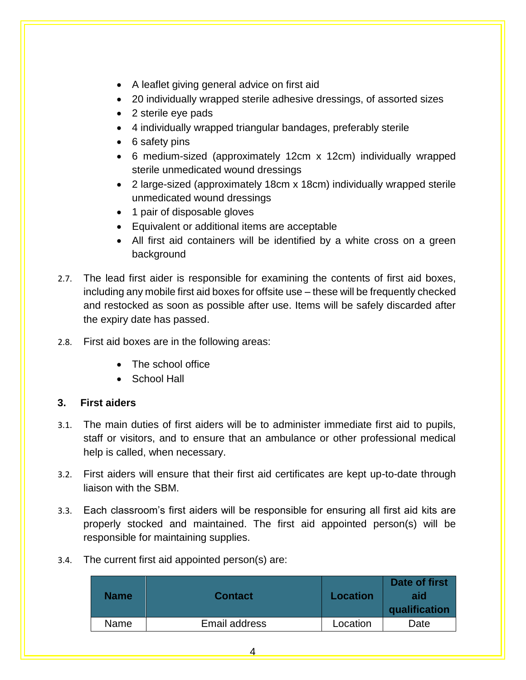- A leaflet giving general advice on first aid
- 20 individually wrapped sterile adhesive dressings, of assorted sizes
- 2 sterile eye pads
- 4 individually wrapped triangular bandages, preferably sterile
- 6 safety pins
- 6 medium-sized (approximately 12cm x 12cm) individually wrapped sterile unmedicated wound dressings
- 2 large-sized (approximately 18cm x 18cm) individually wrapped sterile unmedicated wound dressings
- 1 pair of disposable gloves
- Equivalent or additional items are acceptable
- All first aid containers will be identified by a white cross on a green background
- 2.7. The lead first aider is responsible for examining the contents of first aid boxes, including any mobile first aid boxes for offsite use – these will be frequently checked and restocked as soon as possible after use. Items will be safely discarded after the expiry date has passed.
- 2.8. First aid boxes are in the following areas:
	- The school office
	- School Hall

#### <span id="page-4-0"></span>**3. First aiders**

- 3.1. The main duties of first aiders will be to administer immediate first aid to pupils, staff or visitors, and to ensure that an ambulance or other professional medical help is called, when necessary.
- 3.2. First aiders will ensure that their first aid certificates are kept up-to-date through liaison with the SBM.
- 3.3. Each classroom's first aiders will be responsible for ensuring all first aid kits are properly stocked and maintained. The first aid appointed person(s) will be responsible for maintaining supplies.
- 3.4. The current first aid appointed person(s) are:

| <b>Name</b> | <b>Contact</b> | <b>Location</b> | Date of first<br>aid<br>qualification |
|-------------|----------------|-----------------|---------------------------------------|
| Name        | Email address  | Location        | Date                                  |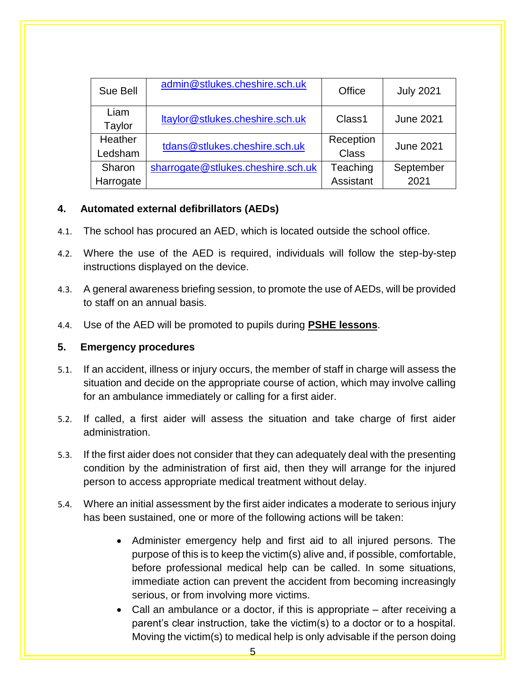| Sue Bell            | admin@stlukes.cheshire.sch.uk      | Office                | <b>July 2021</b>  |
|---------------------|------------------------------------|-----------------------|-------------------|
| Liam<br>Taylor      | ltaylor@stlukes.cheshire.sch.uk    | Class1                | <b>June 2021</b>  |
| Heather<br>Ledsham  | tdans@stlukes.cheshire.sch.uk      | Reception<br>Class    | <b>June 2021</b>  |
| Sharon<br>Harrogate | sharrogate@stlukes.cheshire.sch.uk | Teaching<br>Assistant | September<br>2021 |

# <span id="page-5-0"></span>**4. Automated external defibrillators (AEDs)**

- 4.1. The school has procured an AED, which is located outside the school office.
- 4.2. Where the use of the AED is required, individuals will follow the step-by-step instructions displayed on the device.
- 4.3. A general awareness briefing session, to promote the use of AEDs, will be provided to staff on an annual basis.
- 4.4. Use of the AED will be promoted to pupils during **PSHE lessons**.

#### <span id="page-5-1"></span>**5. Emergency procedures**

- 5.1. If an accident, illness or injury occurs, the member of staff in charge will assess the situation and decide on the appropriate course of action, which may involve calling for an ambulance immediately or calling for a first aider.
- 5.2. If called, a first aider will assess the situation and take charge of first aider administration.
- 5.3. If the first aider does not consider that they can adequately deal with the presenting condition by the administration of first aid, then they will arrange for the injured person to access appropriate medical treatment without delay.
- 5.4. Where an initial assessment by the first aider indicates a moderate to serious injury has been sustained, one or more of the following actions will be taken:
	- Administer emergency help and first aid to all injured persons. The purpose of this is to keep the victim(s) alive and, if possible, comfortable, before professional medical help can be called. In some situations, immediate action can prevent the accident from becoming increasingly serious, or from involving more victims.
	- Call an ambulance or a doctor, if this is appropriate after receiving a parent's clear instruction, take the victim(s) to a doctor or to a hospital. Moving the victim(s) to medical help is only advisable if the person doing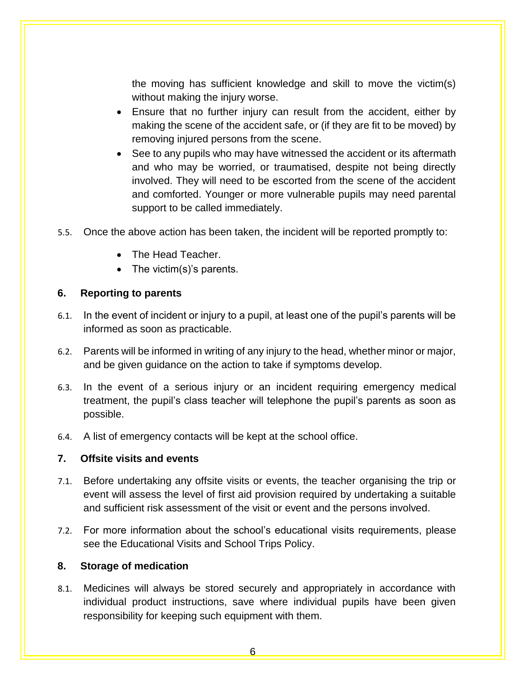the moving has sufficient knowledge and skill to move the victim(s) without making the injury worse.

- Ensure that no further injury can result from the accident, either by making the scene of the accident safe, or (if they are fit to be moved) by removing injured persons from the scene.
- See to any pupils who may have witnessed the accident or its aftermath and who may be worried, or traumatised, despite not being directly involved. They will need to be escorted from the scene of the accident and comforted. Younger or more vulnerable pupils may need parental support to be called immediately.
- 5.5. Once the above action has been taken, the incident will be reported promptly to:
	- The Head Teacher.
	- The victim(s)'s parents.

#### <span id="page-6-0"></span>**6. Reporting to parents**

- 6.1. In the event of incident or injury to a pupil, at least one of the pupil's parents will be informed as soon as practicable.
- 6.2. Parents will be informed in writing of any injury to the head, whether minor or major, and be given guidance on the action to take if symptoms develop.
- 6.3. In the event of a serious injury or an incident requiring emergency medical treatment, the pupil's class teacher will telephone the pupil's parents as soon as possible.
- 6.4. A list of emergency contacts will be kept at the school office.

#### <span id="page-6-1"></span>**7. Offsite visits and events**

- 7.1. Before undertaking any offsite visits or events, the teacher organising the trip or event will assess the level of first aid provision required by undertaking a suitable and sufficient risk assessment of the visit or event and the persons involved.
- 7.2. For more information about the school's educational visits requirements, please see the Educational Visits and School Trips Policy.

# <span id="page-6-2"></span>**8. Storage of medication**

8.1. Medicines will always be stored securely and appropriately in accordance with individual product instructions, save where individual pupils have been given responsibility for keeping such equipment with them.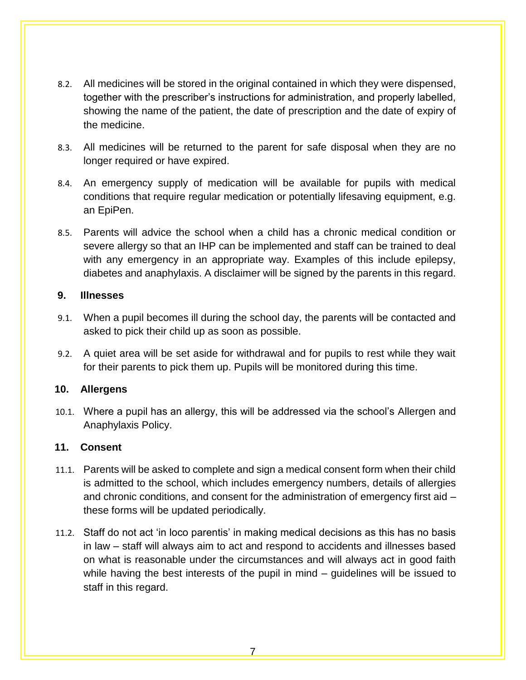- 8.2. All medicines will be stored in the original contained in which they were dispensed, together with the prescriber's instructions for administration, and properly labelled, showing the name of the patient, the date of prescription and the date of expiry of the medicine.
- 8.3. All medicines will be returned to the parent for safe disposal when they are no longer required or have expired.
- 8.4. An emergency supply of medication will be available for pupils with medical conditions that require regular medication or potentially lifesaving equipment, e.g. an EpiPen.
- 8.5. Parents will advice the school when a child has a chronic medical condition or severe allergy so that an IHP can be implemented and staff can be trained to deal with any emergency in an appropriate way. Examples of this include epilepsy, diabetes and anaphylaxis. A disclaimer will be signed by the parents in this regard.

#### <span id="page-7-0"></span>**9. Illnesses**

- 9.1. When a pupil becomes ill during the school day, the parents will be contacted and asked to pick their child up as soon as possible.
- 9.2. A quiet area will be set aside for withdrawal and for pupils to rest while they wait for their parents to pick them up. Pupils will be monitored during this time.

#### <span id="page-7-1"></span>**10. Allergens**

10.1. Where a pupil has an allergy, this will be addressed via the school's Allergen and Anaphylaxis Policy.

#### <span id="page-7-2"></span>**11. Consent**

- 11.1. Parents will be asked to complete and sign a medical consent form when their child is admitted to the school, which includes emergency numbers, details of allergies and chronic conditions, and consent for the administration of emergency first aid – these forms will be updated periodically.
- 11.2. Staff do not act 'in loco parentis' in making medical decisions as this has no basis in law – staff will always aim to act and respond to accidents and illnesses based on what is reasonable under the circumstances and will always act in good faith while having the best interests of the pupil in mind – guidelines will be issued to staff in this regard.